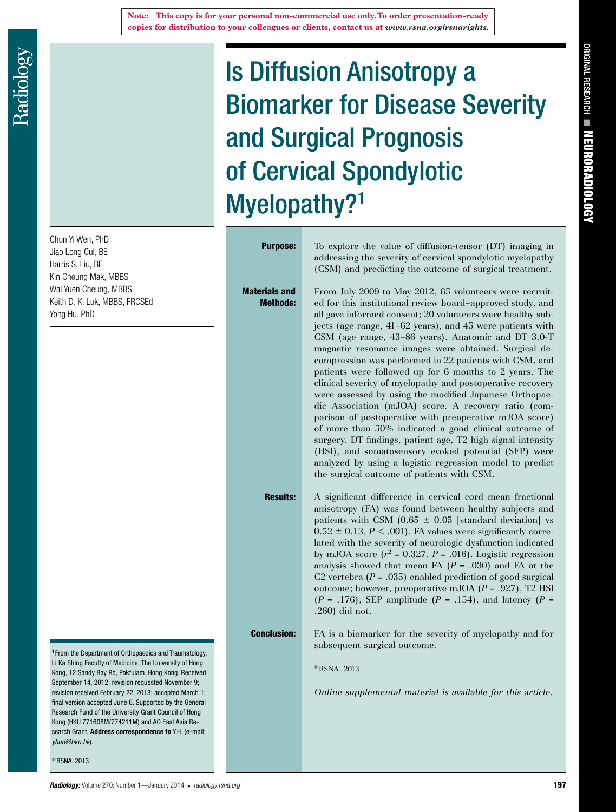Chun Yi Wen, PhD Jiao Long Cui, BE Harris S. Liu, BE Kin Cheung Mak, MBBS Wai Yuen Cheung, MBBS Keith D. K. Luk, MBBS, FRCSEd Yong Hu, PhD

<sup>1</sup> From the Department of Orthopaedics and Traumatology, Li Ka Shing Faculty of Medicine, The University of Hong Kong, 12 Sandy Bay Rd, Pokfulam, Hong Kong. Received September 14, 2012; revision requested November 9; revision received February 22, 2013; accepted March 1; final version accepted June 6. Supported by the General Research Fund of the University Grant Council of Hong Kong (HKU 771608M/774211M) and AO East Asia Research Grant. **Address correspondence to** Y.H. (e-mail: *yhud@hku.hk*).

 $^{\circ}$  RSNA, 2013

Is Diffusion Anisotropy a Biomarker for Disease Severity and Surgical Prognosis of Cervical Spondylotic Myelopathy?<sup>1</sup>

Materials and Methods:

**Purpose:** To explore the value of diffusion-tensor (DT) imaging in addressing the severity of cervical spondylotic myelopathy (CSM) and predicting the outcome of surgical treatment.

> From July 2009 to May 2012, 65 volunteers were recruited for this institutional review board–approved study, and all gave informed consent; 20 volunteers were healthy subjects (age range, 41–62 years), and 45 were patients with CSM (age range, 43–86 years). Anatomic and DT 3.0-T magnetic resonance images were obtained. Surgical decompression was performed in 22 patients with CSM, and patients were followed up for 6 months to 2 years. The clinical severity of myelopathy and postoperative recovery were assessed by using the modified Japanese Orthopaedic Association (mJOA) score. A recovery ratio (comparison of postoperative with preoperative mJOA score) of more than 50% indicated a good clinical outcome of surgery. DT findings, patient age, T2 high signal intensity (HSI), and somatosensory evoked potential (SEP) were analyzed by using a logistic regression model to predict the surgical outcome of patients with CSM.

**Results:** A significant difference in cervical cord mean fractional anisotropy (FA) was found between healthy subjects and patients with CSM (0.65  $\pm$  0.05 [standard deviation] vs  $0.52 \pm 0.13$ ,  $P < .001$ ). FA values were significantly correlated with the severity of neurologic dysfunction indicated by mJOA score  $(r^2 = 0.327, P = .016)$ . Logistic regression analysis showed that mean FA  $(P = .030)$  and FA at the C2 vertebra  $(P = .035)$  enabled prediction of good surgical outcome; however, preoperative mJOA (*P* = .927), T2 HSI  $(P = .176)$ , SEP amplitude  $(P = .154)$ , and latency  $(P = .176)$ .260) did not.

**Conclusion:** FA is a biomarker for the severity of myelopathy and for subsequent surgical outcome.

 $\textcirc$  RSNA, 2013

*Online supplemental material is available for this article.* 

Original Research

ORIGINAL RESEARCH **= NEURORADIOLOGY** 

Neuroradiology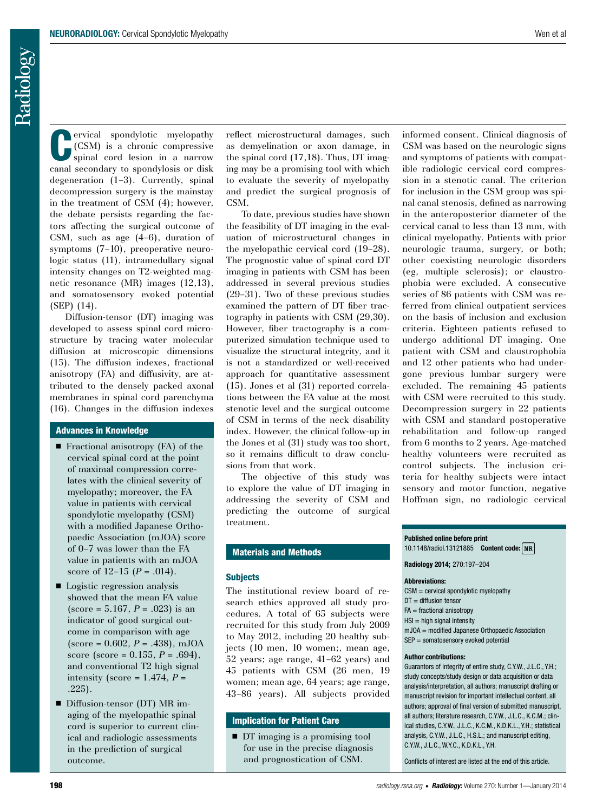**CERV** ervical spondylotic myelopathy<br>
(CSM) is a chronic compressive<br>
spinal cord lesion in a narrow (CSM) is a chronic compressive spinal cord lesion in a narrow canal secondary to spondylosis or disk degeneration (1–3). Currently, spinal decompression surgery is the mainstay in the treatment of CSM (4); however, the debate persists regarding the factors affecting the surgical outcome of CSM, such as age (4–6), duration of symptoms (7–10), preoperative neurologic status (11), intramedullary signal intensity changes on T2-weighted magnetic resonance (MR) images (12,13), and somatosensory evoked potential (SEP) (14).

Diffusion-tensor (DT) imaging was developed to assess spinal cord microstructure by tracing water molecular diffusion at microscopic dimensions (15). The diffusion indexes, fractional anisotropy (FA) and diffusivity, are attributed to the densely packed axonal membranes in spinal cord parenchyma (16). Changes in the diffusion indexes

## Advances in Knowledge

- $\blacksquare$  Fractional anisotropy (FA) of the cervical spinal cord at the point of maximal compression correlates with the clinical severity of myelopathy; moreover, the FA value in patients with cervical spondylotic myelopathy (CSM) with a modified Japanese Orthopaedic Association (mJOA) score of 0–7 was lower than the FA value in patients with an mJOA score of  $12-15$   $(P = .014)$ .
- $\blacksquare$  Logistic regression analysis showed that the mean FA value  $(\text{score} = 5.167, P = .023)$  is an indicator of good surgical outcome in comparison with age  $(\text{score} = 0.602, P = .438), \text{mJOA}$ score (score = 0.155, *P* = .694), and conventional T2 high signal intensity (score =  $1.474$ ,  $P =$ .225).
- Diffusion-tensor (DT) MR imaging of the myelopathic spinal cord is superior to current clinical and radiologic assessments in the prediction of surgical outcome.

reflect microstructural damages, such as demyelination or axon damage, in the spinal cord (17,18). Thus, DT imaging may be a promising tool with which to evaluate the severity of myelopathy and predict the surgical prognosis of CSM.

To date, previous studies have shown the feasibility of DT imaging in the evaluation of microstructural changes in the myelopathic cervical cord (19–28). The prognostic value of spinal cord DT imaging in patients with CSM has been addressed in several previous studies (29–31). Two of these previous studies examined the pattern of DT fiber tractography in patients with CSM (29,30). However, fiber tractography is a computerized simulation technique used to visualize the structural integrity, and it is not a standardized or well-received approach for quantitative assessment (15). Jones et al (31) reported correlations between the FA value at the most stenotic level and the surgical outcome of CSM in terms of the neck disability index. However, the clinical follow-up in the Jones et al (31) study was too short, so it remains difficult to draw conclusions from that work.

The objective of this study was to explore the value of DT imaging in addressing the severity of CSM and predicting the outcome of surgical treatment.

## Materials and Methods

### **Subjects**

The institutional review board of research ethics approved all study procedures. A total of 65 subjects were recruited for this study from July 2009 to May 2012, including 20 healthy subjects (10 men, 10 women;, mean age, 52 years; age range, 41–62 years) and 45 patients with CSM (26 men, 19 women; mean age, 64 years; age range, 43–86 years). All subjects provided

# Implication for Patient Care

■ DT imaging is a promising tool for use in the precise diagnosis and prognostication of CSM.

informed consent. Clinical diagnosis of CSM was based on the neurologic signs and symptoms of patients with compatible radiologic cervical cord compression in a stenotic canal. The criterion for inclusion in the CSM group was spinal canal stenosis, defined as narrowing in the anteroposterior diameter of the cervical canal to less than 13 mm, with clinical myelopathy. Patients with prior neurologic trauma, surgery, or both; other coexisting neurologic disorders (eg, multiple sclerosis); or claustrophobia were excluded. A consecutive series of 86 patients with CSM was referred from clinical outpatient services on the basis of inclusion and exclusion criteria. Eighteen patients refused to undergo additional DT imaging. One patient with CSM and claustrophobia and 12 other patients who had undergone previous lumbar surgery were excluded. The remaining 45 patients with CSM were recruited to this study. Decompression surgery in 22 patients with CSM and standard postoperative rehabilitation and follow-up ranged from 6 months to 2 years. Age-matched healthy volunteers were recruited as control subjects. The inclusion criteria for healthy subjects were intact sensory and motor function, negative Hoffman sign, no radiologic cervical

## **Published online before print** 10.1148/radiol.13121885 **Content code:**

**Radiology 2014;** 270:197–204

### **Abbreviations:**

CSM = cervical spondylotic myelopathy

- DT = diffusion tensor
- $FA = fractional anisotropy$
- $HSI = hiah$  signal intensity
- mJOA = modified Japanese Orthopaedic Association
- SEP = somatosensory evoked potential

## **Author contributions:**

Guarantors of integrity of entire study, C.Y.W., J.L.C., Y.H.; study concepts/study design or data acquisition or data analysis/interpretation, all authors; manuscript drafting or manuscript revision for important intellectual content, all authors; approval of final version of submitted manuscript, all authors; literature research, C.Y.W., J.L.C., K.C.M.; clinical studies, C.Y.W., J.L.C., K.C.M., K.D.K.L., Y.H.; statistical analysis, C.Y.W., J.L.C., H.S.L.; and manuscript editing, C.Y.W., J.L.C., W.Y.C., K.D.K.L., Y.H.

Conflicts of interest are listed at the end of this article.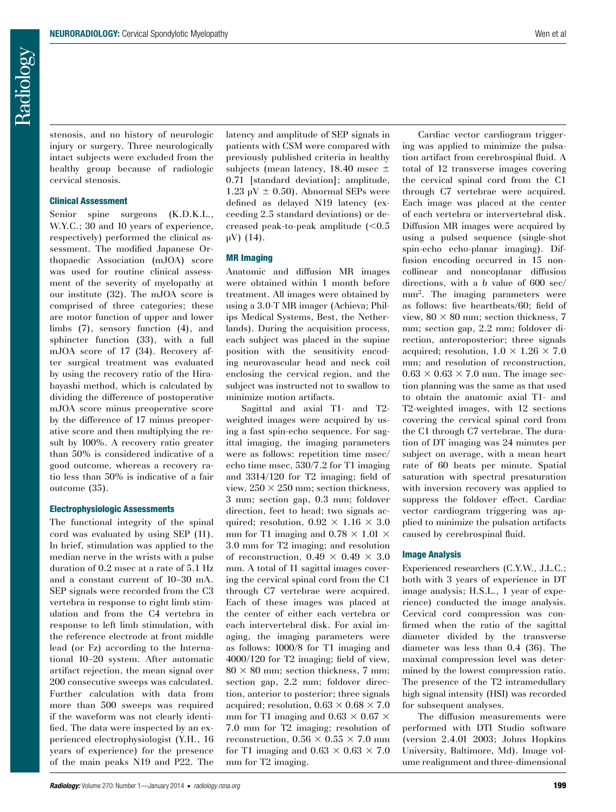stenosis, and no history of neurologic injury or surgery. Three neurologically intact subjects were excluded from the healthy group because of radiologic cervical stenosis.

#### Clinical Assessment

Senior spine surgeons (K.D.K.L., W.Y.C.; 30 and 10 years of experience, respectively) performed the clinical assessment. The modified Japanese Orthopaedic Association (mJOA) score was used for routine clinical assessment of the severity of myelopathy at our institute (32). The mJOA score is comprised of three categories; these are motor function of upper and lower limbs (7), sensory function (4), and sphincter function (33), with a full mJOA score of 17 (34). Recovery after surgical treatment was evaluated by using the recovery ratio of the Hirabayashi method, which is calculated by dividing the difference of postoperative mJOA score minus preoperative score by the difference of 17 minus preoperative score and then multiplying the result by 100%. A recovery ratio greater than 50% is considered indicative of a good outcome, whereas a recovery ratio less than 50% is indicative of a fair outcome (35).

#### Electrophysiologic Assessments

The functional integrity of the spinal cord was evaluated by using SEP (11). In brief, stimulation was applied to the median nerve in the wrists with a pulse duration of 0.2 msec at a rate of 5.1 Hz and a constant current of 10–30 mA. SEP signals were recorded from the C3 vertebra in response to right limb stimulation and from the C4 vertebra in response to left limb stimulation, with the reference electrode at front middle lead (or Fz) according to the International 10–20 system. After automatic artifact rejection, the mean signal over 200 consecutive sweeps was calculated. Further calculation with data from more than 500 sweeps was required if the waveform was not clearly identified. The data were inspected by an experienced electrophysiologist (Y.H., 16 years of experience) for the presence of the main peaks N19 and P22. The latency and amplitude of SEP signals in patients with CSM were compared with previously published criteria in healthy subjects (mean latency, 18.40 msec  $\pm$ 0.71 [standard deviation]; amplitude, 1.23  $\mu$ V  $\pm$  0.50). Abnormal SEPs were defined as delayed N19 latency (exceeding 2.5 standard deviations) or decreased peak-to-peak amplitude  $(<0.5$ µV) (14).

### MR Imaging

Anatomic and diffusion MR images were obtained within 1 month before treatment. All images were obtained by using a 3.0-T MR imager (Achieva; Philips Medical Systems, Best, the Netherlands). During the acquisition process, each subject was placed in the supine position with the sensitivity encoding neurovascular head and neck coil enclosing the cervical region, and the subject was instructed not to swallow to minimize motion artifacts.

Sagittal and axial T1- and T2 weighted images were acquired by using a fast spin-echo sequence. For sagittal imaging, the imaging parameters were as follows: repetition time msec/ echo time msec, 530/7.2 for T1 imaging and 3314/120 for T2 imaging; field of view,  $250 \times 250$  mm; section thickness, 3 mm; section gap, 0.3 mm; foldover direction, feet to head; two signals acquired: resolution,  $0.92 \times 1.16 \times 3.0$ mm for T1 imaging and  $0.78 \times 1.01 \times$ 3.0 mm for T2 imaging; and resolution of reconstruction,  $0.49 \times 0.49 \times 3.0$ mm. A total of 11 sagittal images covering the cervical spinal cord from the C1 through C7 vertebrae were acquired. Each of these images was placed at the center of either each vertebra or each intervertebral disk. For axial imaging, the imaging parameters were as follows: 1000/8 for T1 imaging and 4000/120 for T2 imaging; field of view,  $80 \times 80$  mm; section thickness, 7 mm; section gap, 2.2 mm; foldover direction, anterior to posterior; three signals acquired; resolution,  $0.63 \times 0.68 \times 7.0$ mm for T1 imaging and  $0.63 \times 0.67 \times$ 7.0 mm for T2 imaging; resolution of reconstruction,  $0.56 \times 0.55 \times 7.0$  mm for T1 imaging and  $0.63 \times 0.63 \times 7.0$ mm for T2 imaging.

Cardiac vector cardiogram triggering was applied to minimize the pulsation artifact from cerebrospinal fluid. A total of 12 transverse images covering the cervical spinal cord from the C1 through C7 vertebrae were acquired. Each image was placed at the center of each vertebra or intervertebral disk. Diffusion MR images were acquired by using a pulsed sequence (single-shot spin-echo echo-planar imaging). Diffusion encoding occurred in 15 noncollinear and noncoplanar diffusion directions, with a *b* value of 600 sec/ mm<sup>2</sup>. The imaging parameters were as follows: five heartbeats/60; field of view,  $80 \times 80$  mm; section thickness, 7 mm; section gap, 2.2 mm; foldover direction, anteroposterior; three signals acquired; resolution,  $1.0 \times 1.26 \times 7.0$ mm; and resolution of reconstruction,  $0.63 \times 0.63 \times 7.0$  mm. The image section planning was the same as that used to obtain the anatomic axial T1- and T2-weighted images, with 12 sections covering the cervical spinal cord from the C1 through C7 vertebrae. The duration of DT imaging was 24 minutes per subject on average, with a mean heart rate of 60 beats per minute. Spatial saturation with spectral presaturation with inversion recovery was applied to suppress the foldover effect. Cardiac vector cardiogram triggering was applied to minimize the pulsation artifacts caused by cerebrospinal fluid.

#### Image Analysis

Experienced researchers (C.Y.W., J.L.C.; both with 3 years of experience in DT image analysis; H.S.L., 1 year of experience) conducted the image analysis. Cervical cord compression was confirmed when the ratio of the sagittal diameter divided by the transverse diameter was less than 0.4 (36). The maximal compression level was determined by the lowest compression ratio. The presence of the T2 intramedullary high signal intensity (HSI) was recorded for subsequent analyses.

The diffusion measurements were performed with DTI Studio software (version 2.4.01 2003; Johns Hopkins University, Baltimore, Md). Image volume realignment and three-dimensional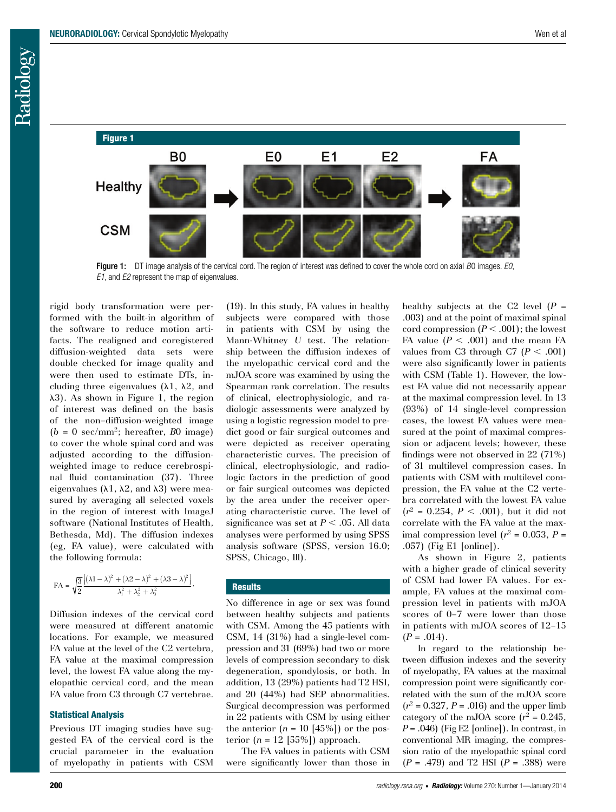

Figure 1: DT image analysis of the cervical cord. The region of interest was defined to cover the whole cord on axial *B*0 images. *E0*, *E1*, and *E2* represent the map of eigenvalues.

(19). In this study, FA values in healthy

rigid body transformation were performed with the built-in algorithm of the software to reduce motion artifacts. The realigned and coregistered diffusion-weighted data sets were double checked for image quality and were then used to estimate DTs, including three eigenvalues  $(\lambda 1, \lambda 2,$  and  $\lambda$ 3). As shown in Figure 1, the region of interest was defined on the basis of the non–diffusion-weighted image  $(b = 0 \text{ sec/mm}^2$ ; hereafter, *B*0 image) to cover the whole spinal cord and was adjusted according to the diffusionweighted image to reduce cerebrospinal fluid contamination (37). Three eigenvalues ( $\lambda$ 1,  $\lambda$ 2, and  $\lambda$ 3) were measured by averaging all selected voxels in the region of interest with ImageJ software (National Institutes of Health, Bethesda, Md). The diffusion indexes (eg, FA value), were calculated with the following formula:

$$
\text{FA} = \sqrt{\frac{3}{2}} \frac{\left[ \left( \lambda 1 - \lambda \right)^2 + \left( \lambda 2 - \lambda \right)^2 + \left( \lambda 3 - \lambda \right)^2 \right]}{\lambda_1^2 + \lambda_2^2 + \lambda_3^2}.
$$

Diffusion indexes of the cervical cord were measured at different anatomic locations. For example, we measured FA value at the level of the C2 vertebra, FA value at the maximal compression level, the lowest FA value along the myelopathic cervical cord, and the mean FA value from C3 through C7 vertebrae.

## Statistical Analysis

Previous DT imaging studies have suggested FA of the cervical cord is the crucial parameter in the evaluation of myelopathy in patients with CSM subjects were compared with those in patients with CSM by using the Mann-Whitney *U* test. The relationship between the diffusion indexes of the myelopathic cervical cord and the mJOA score was examined by using the Spearman rank correlation. The results of clinical, electrophysiologic, and radiologic assessments were analyzed by using a logistic regression model to predict good or fair surgical outcomes and were depicted as receiver operating characteristic curves. The precision of clinical, electrophysiologic, and radiologic factors in the prediction of good or fair surgical outcomes was depicted by the area under the receiver operating characteristic curve. The level of significance was set at  $P < .05$ . All data analyses were performed by using SPSS analysis software (SPSS, version 16.0; SPSS, Chicago, Ill).

# **Results**

No difference in age or sex was found between healthy subjects and patients with CSM. Among the 45 patients with CSM, 14 (31%) had a single-level compression and 31 (69%) had two or more levels of compression secondary to disk degeneration, spondylosis, or both. In addition, 13 (29%) patients had T2 HSI, and 20 (44%) had SEP abnormalities. Surgical decompression was performed in 22 patients with CSM by using either the anterior  $(n = 10 \text{ [45%])}$  or the posterior  $(n = 12 \text{ [55%)})$  approach.

The FA values in patients with CSM were significantly lower than those in healthy subjects at the C2 level  $(P =$ .003) and at the point of maximal spinal cord compression  $(P < .001)$ ; the lowest FA value  $(P < .001)$  and the mean FA values from C3 through C7 ( $P < .001$ ) were also significantly lower in patients with CSM (Table 1). However, the lowest FA value did not necessarily appear at the maximal compression level. In 13 (93%) of 14 single-level compression cases, the lowest FA values were measured at the point of maximal compression or adjacent levels; however, these findings were not observed in 22 (71%) of 31 multilevel compression cases. In patients with CSM with multilevel compression, the FA value at the C2 vertebra correlated with the lowest FA value  $(r^2 = 0.254, P < .001)$ , but it did not correlate with the FA value at the maximal compression level  $(r^2 = 0.053, P =$ .057) (Fig E1 [online]).

As shown in Figure 2, patients with a higher grade of clinical severity of CSM had lower FA values. For example, FA values at the maximal compression level in patients with mJOA scores of 0–7 were lower than those in patients with mJOA scores of 12–15  $(P = .014)$ .

In regard to the relationship between diffusion indexes and the severity of myelopathy, FA values at the maximal compression point were significantly correlated with the sum of the mJOA score  $(r^2 = 0.327, P = .016)$  and the upper limb category of the mJOA score  $(r^2 = 0.245,$  $P = .046$ ) (Fig E2 [online]). In contrast, in conventional MR imaging, the compression ratio of the myelopathic spinal cord (*P* = .479) and T2 HSI (*P* = .388) were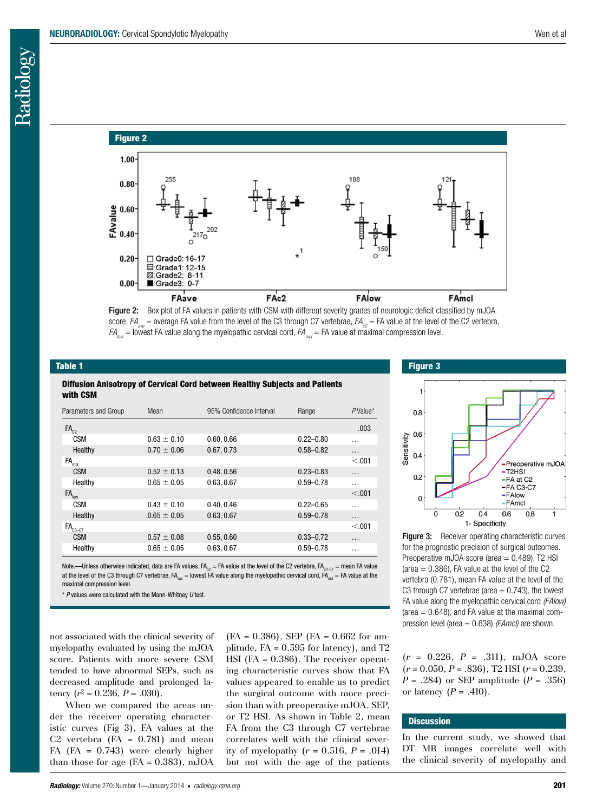# Figure 2





# Table 1

Diffusion Anisotropy of Cervical Cord between Healthy Subjects and Patients with CSM

| Parameters and Group                  | Mean            | 95% Confidence Interval | Range         | $P$ Value* |
|---------------------------------------|-----------------|-------------------------|---------------|------------|
| $FA_{22}$                             |                 |                         |               | .003       |
| CSM                                   | $0.63 \pm 0.10$ | 0.60, 0.66              | $0.22 - 0.80$ | $\cdots$   |
| Healthy                               | $0.70 \pm 0.06$ | 0.67, 0.73              | $0.58 - 0.82$ | $\cdots$   |
| FA <sub>md</sub>                      |                 |                         |               | < 0.01     |
| <b>CSM</b>                            | $0.52 \pm 0.13$ | 0.48, 0.56              | $0.23 - 0.83$ | $\cdots$   |
| Healthy                               | $0.65 \pm 0.05$ | 0.63, 0.67              | $0.59 - 0.78$ | $\cdots$   |
| $FA_{low}$                            |                 |                         |               | < 0.01     |
| <b>CSM</b>                            | $0.43 \pm 0.10$ | 0.40.0.46               | $0.22 - 0.65$ | .          |
| Healthy                               | $0.65 \pm 0.05$ | 0.63, 0.67              | $0.59 - 0.78$ | $\cdots$   |
| $\triangleleft$ FA $_{\text{c3--C7}}$ |                 |                         |               | < 0.01     |
| <b>CSM</b>                            | $0.57 \pm 0.08$ | 0.55, 0.60              | $0.33 - 0.72$ | $\cdots$   |
| Healthy                               | $0.65 \pm 0.05$ | 0.63, 0.67              | $0.59 - 0.78$ | .          |

Note.—Unless otherwise indicated, data are FA values. FA<sub>c2</sub> = FA value at the level of the C2 vertebra, FA<sub>c3–C7</sub> = mean FA value at the level of the C3 through C7 vertebrae,  $FA_{\text{low}} =$  lowest FA value along the myelopathic cervical cord,  $FA_{\text{mid}} = FA$  value at the maximal compression level.

\* *P* values were calculated with the Mann-Whitney *U* test.

not associated with the clinical severity of myelopathy evaluated by using the mJOA score. Patients with more severe CSM tended to have abnormal SEPs, such as decreased amplitude and prolonged latency  $(r^2 = 0.236, P = .030)$ .

When we compared the areas under the receiver operating characteristic curves (Fig 3), FA values at the C2 vertebra  $(FA = 0.781)$  and mean FA (FA = 0.743) were clearly higher than those for age  $(FA = 0.383)$ , mJOA  $(FA = 0.386)$ , SEP  $(FA = 0.662$  for amplitude, FA = 0.595 for latency), and T2 HSI (FA = 0.386). The receiver operating characteristic curves show that FA values appeared to enable us to predict the surgical outcome with more precision than with preoperative mJOA, SEP, or T2 HSI. As shown in Table 2, mean FA from the C3 through C7 vertebrae correlates well with the clinical severity of myelopathy  $(r = 0.516, P = .014)$ but not with the age of the patients



Figure 3: Receiver operating characteristic curves for the prognostic precision of surgical outcomes. Preoperative mJOA score (area  $= 0.489$ ), T2 HSI (area  $= 0.386$ ), FA value at the level of the C2 vertebra (0.781), mean FA value at the level of the C3 through C7 vertebrae (area  $= 0.743$ ), the lowest FA value along the myelopathic cervical cord *(FAlow)* (area  $= 0.648$ ), and FA value at the maximal compression level (area = 0.638) *(FAmcl)* are shown.

(*r* = 0.226, *P* = .311), mJOA score (*r* = 0.050, *P* = .836), T2 HSI (*r* = 0.239, *P* = .284) or SEP amplitude (*P* = .356) or latency  $(P = .410)$ .

# **Discussion**

In the current study, we showed that DT MR images correlate well with the clinical severity of myelopathy and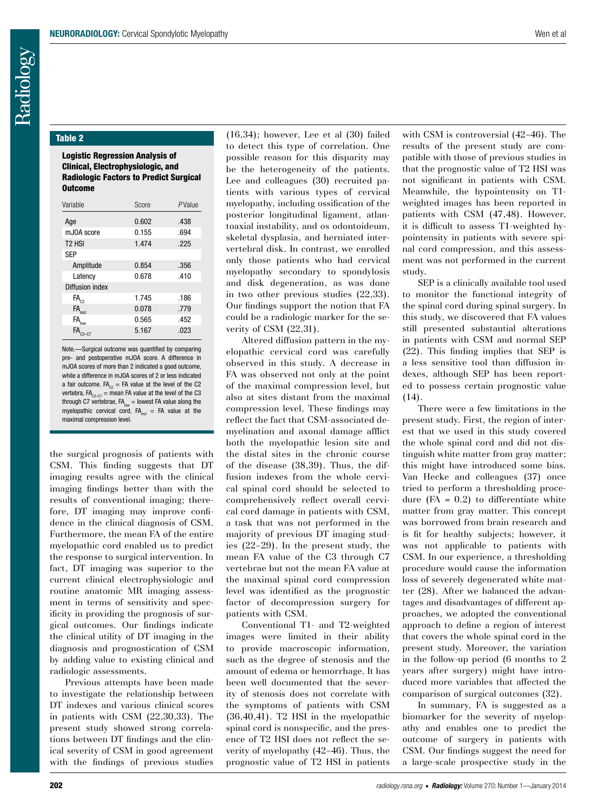## Table 2

## Logistic Regression Analysis of Clinical, Electrophysiologic, and Radiologic Factors to Predict Surgical Outcome

| Variable                       | Score | PValue |  |  |
|--------------------------------|-------|--------|--|--|
| Age                            | 0.602 | .438   |  |  |
| mJ0A score                     | 0.155 | .694   |  |  |
| T <sub>2</sub> H <sub>SI</sub> | 1.474 | .225   |  |  |
| <b>SEP</b>                     |       |        |  |  |
| Amplitude                      | 0.854 | .356   |  |  |
| Latency                        | 0.678 | .410   |  |  |
| Diffusion index                |       |        |  |  |
| $\mathsf{FA}_{\mathrm{c}2}$    | 1.745 | .186   |  |  |
| FA <sub>mol</sub>              | 0.078 | .779   |  |  |
| $\mathsf{FA}_{\mathsf{low}}$   | 0.565 | .452   |  |  |
|                                | 5.167 | .023   |  |  |

Note.—Surgical outcome was quantified by comparing pre- and postoperative mJOA score. A difference in mJOA scores of more than 2 indicated a good outcome, while a difference in mJOA scores of 2 or less indicated a fair outcome. FA<sub>c2</sub> = FA value at the level of the C2 vertebra,  $FA_{c_3-c_7}$  = mean FA value at the level of the C3 through C7 vertebrae,  $FA_{low}$  = lowest FA value along the myelopathic cervical cord,  $FA<sub>met</sub> = FA$  value at the maximal compression level.

the surgical prognosis of patients with CSM. This finding suggests that DT imaging results agree with the clinical imaging findings better than with the results of conventional imaging; therefore, DT imaging may improve confidence in the clinical diagnosis of CSM. Furthermore, the mean FA of the entire myelopathic cord enabled us to predict the response to surgical intervention. In fact, DT imaging was superior to the current clinical electrophysiologic and routine anatomic MR imaging assessment in terms of sensitivity and specificity in providing the prognosis of surgical outcomes. Our findings indicate the clinical utility of DT imaging in the diagnosis and prognostication of CSM by adding value to existing clinical and radiologic assessments.

Previous attempts have been made to investigate the relationship between DT indexes and various clinical scores in patients with CSM (22,30,33). The present study showed strong correlations between DT findings and the clinical severity of CSM in good agreement with the findings of previous studies (16,34); however, Lee et al (30) failed to detect this type of correlation. One possible reason for this disparity may be the heterogeneity of the patients. Lee and colleagues (30) recruited patients with various types of cervical myelopathy, including ossification of the posterior longitudinal ligament, atlantoaxial instability, and os odontoideum, skeletal dysplasia, and herniated intervertebral disk. In contrast, we enrolled only those patients who had cervical myelopathy secondary to spondylosis and disk degeneration, as was done in two other previous studies (22,33). Our findings support the notion that FA could be a radiologic marker for the severity of CSM (22,31).

Altered diffusion pattern in the myelopathic cervical cord was carefully observed in this study. A decrease in FA was observed not only at the point of the maximal compression level, but also at sites distant from the maximal compression level. These findings may reflect the fact that CSM-associated demyelination and axonal damage afflict both the myelopathic lesion site and the distal sites in the chronic course of the disease (38,39). Thus, the diffusion indexes from the whole cervical spinal cord should be selected to comprehensively reflect overall cervical cord damage in patients with CSM, a task that was not performed in the majority of previous DT imaging studies (22–29). In the present study, the mean FA value of the C3 through C7 vertebrae but not the mean FA value at the maximal spinal cord compression level was identified as the prognostic factor of decompression surgery for patients with CSM.

Conventional T1- and T2-weighted images were limited in their ability to provide macroscopic information, such as the degree of stenosis and the amount of edema or hemorrhage. It has been well documented that the severity of stenosis does not correlate with the symptoms of patients with CSM (36,40,41). T2 HSI in the myelopathic spinal cord is nonspecific, and the presence of T2 HSI does not reflect the severity of myelopathy (42–46). Thus, the prognostic value of T2 HSI in patients with CSM is controversial (42–46). The results of the present study are compatible with those of previous studies in that the prognostic value of T2 HSI was not significant in patients with CSM. Meanwhile, the hypointensity on T1 weighted images has been reported in patients with CSM (47,48). However, it is difficult to assess T1-weighted hypointensity in patients with severe spinal cord compression, and this assessment was not performed in the current study.

SEP is a clinically available tool used to monitor the functional integrity of the spinal cord during spinal surgery. In this study, we discovered that FA values still presented substantial alterations in patients with CSM and normal SEP (22). This finding implies that SEP is a less sensitive tool than diffusion indexes, although SEP has been reported to possess certain prognostic value (14).

There were a few limitations in the present study. First, the region of interest that we used in this study covered the whole spinal cord and did not distinguish white matter from gray matter; this might have introduced some bias. Van Hecke and colleagues (37) once tried to perform a thresholding procedure  $(FA = 0.2)$  to differentiate white matter from gray matter. This concept was borrowed from brain research and is fit for healthy subjects; however, it was not applicable to patients with CSM. In our experience, a thresholding procedure would cause the information loss of severely degenerated white matter (28). After we balanced the advantages and disadvantages of different approaches, we adopted the conventional approach to define a region of interest that covers the whole spinal cord in the present study. Moreover, the variation in the follow-up period (6 months to 2 years after surgery) might have introduced more variables that affected the comparison of surgical outcomes (32).

In summary, FA is suggested as a biomarker for the severity of myelopathy and enables one to predict the outcome of surgery in patients with CSM. Our findings suggest the need for a large-scale prospective study in the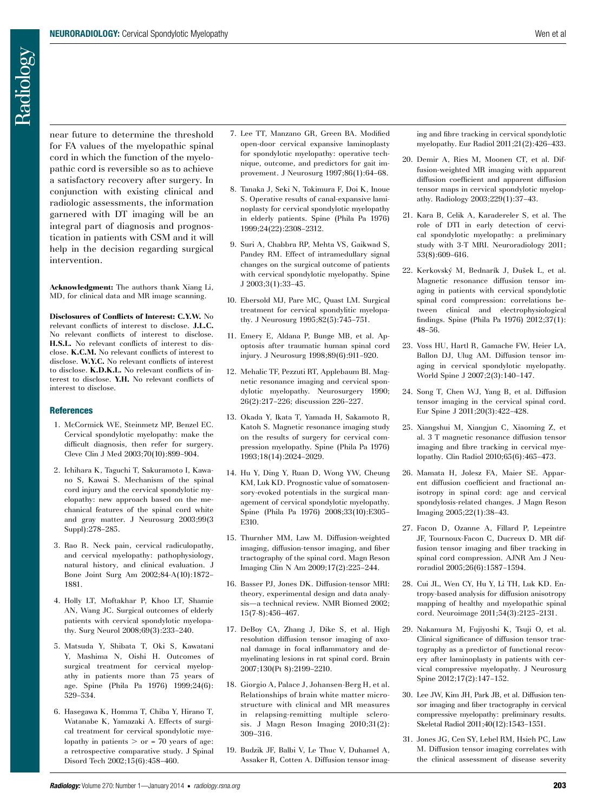near future to determine the threshold for FA values of the myelopathic spinal cord in which the function of the myelopathic cord is reversible so as to achieve a satisfactory recovery after surgery. In conjunction with existing clinical and radiologic assessments, the information garnered with DT imaging will be an integral part of diagnosis and prognostication in patients with CSM and it will help in the decision regarding surgical intervention.

**Acknowledgment:** The authors thank Xiang Li, MD, for clinical data and MR image scanning.

**Disclosures of Conflicts of Interest: C.Y.W.** No relevant conflicts of interest to disclose. **J.L.C.** No relevant conflicts of interest to disclose. **H.S.L.** No relevant conflicts of interest to disclose. **K.C.M.** No relevant conflicts of interest to disclose. **W.Y.C.** No relevant conflicts of interest to disclose. **K.D.K.L.** No relevant conflicts of interest to disclose. **Y.H.** No relevant conflicts of interest to disclose.

### **References**

- 1. McCormick WE, Steinmetz MP, Benzel EC. Cervical spondylotic myelopathy: make the difficult diagnosis, then refer for surgery. Cleve Clin J Med 2003;70(10):899–904.
- 2. Ichihara K, Taguchi T, Sakuramoto I, Kawano S, Kawai S. Mechanism of the spinal cord injury and the cervical spondylotic myelopathy: new approach based on the mechanical features of the spinal cord white and gray matter. J Neurosurg 2003;99(3 Suppl):278–285.
- 3. Rao R. Neck pain, cervical radiculopathy, and cervical myelopathy: pathophysiology, natural history, and clinical evaluation. J Bone Joint Surg Am 2002;84-A(10):1872– 1881.
- 4. Holly LT, Moftakhar P, Khoo LT, Shamie AN, Wang JC. Surgical outcomes of elderly patients with cervical spondylotic myelopathy. Surg Neurol 2008;69(3):233–240.
- 5. Matsuda Y, Shibata T, Oki S, Kawatani Y, Mashima N, Oishi H. Outcomes of surgical treatment for cervical myelopathy in patients more than 75 years of age. Spine (Phila Pa 1976) 1999;24(6): 529–534.
- 6. Hasegawa K, Homma T, Chiba Y, Hirano T, Watanabe K, Yamazaki A. Effects of surgical treatment for cervical spondylotic myelopathy in patients  $>$  or = 70 years of age: a retrospective comparative study. J Spinal Disord Tech 2002;15(6):458–460.
- 7. Lee TT, Manzano GR, Green BA. Modified open-door cervical expansive laminoplasty for spondylotic myelopathy: operative technique, outcome, and predictors for gait improvement. J Neurosurg 1997;86(1):64–68.
- 8. Tanaka J, Seki N, Tokimura F, Doi K, Inoue S. Operative results of canal-expansive laminoplasty for cervical spondylotic myelopathy in elderly patients. Spine (Phila Pa 1976) 1999;24(22):2308–2312.
- 9. Suri A, Chabbra RP, Mehta VS, Gaikwad S, Pandey RM. Effect of intramedullary signal changes on the surgical outcome of patients with cervical spondylotic myelopathy. Spine J 2003;3(1):33–45.
- 10. Ebersold MJ, Pare MC, Quast LM. Surgical treatment for cervical spondylitic myelopathy. J Neurosurg 1995;82(5):745–751.
- 11. Emery E, Aldana P, Bunge MB, et al. Apoptosis after traumatic human spinal cord injury. J Neurosurg 1998;89(6):911–920.
- 12. Mehalic TF, Pezzuti RT, Applebaum BI. Magnetic resonance imaging and cervical spondylotic myelopathy. Neurosurgery 1990; 26(2):217–226; discussion 226–227.
- 13. Okada Y, Ikata T, Yamada H, Sakamoto R, Katoh S. Magnetic resonance imaging study on the results of surgery for cervical compression myelopathy. Spine (Phila Pa 1976) 1993;18(14):2024–2029.
- 14. Hu Y, Ding Y, Ruan D, Wong YW, Cheung KM, Luk KD. Prognostic value of somatosensory-evoked potentials in the surgical management of cervical spondylotic myelopathy. Spine (Phila Pa 1976) 2008;33(10):E305– E310.
- 15. Thurnher MM, Law M. Diffusion-weighted imaging, diffusion-tensor imaging, and fiber tractography of the spinal cord. Magn Reson Imaging Clin N Am 2009;17(2):225–244.
- 16. Basser PJ, Jones DK. Diffusion-tensor MRI: theory, experimental design and data analysis—a technical review. NMR Biomed 2002; 15(7-8):456–467.
- 17. DeBoy CA, Zhang J, Dike S, et al. High resolution diffusion tensor imaging of axonal damage in focal inflammatory and demyelinating lesions in rat spinal cord. Brain 2007;130(Pt 8):2199–2210.
- 18. Giorgio A, Palace J, Johansen-Berg H, et al. Relationships of brain white matter microstructure with clinical and MR measures in relapsing-remitting multiple sclerosis. J Magn Reson Imaging 2010;31(2): 309–316.
- 19. Budzik JF, Balbi V, Le Thuc V, Duhamel A, Assaker R, Cotten A. Diffusion tensor imag-

ing and fibre tracking in cervical spondylotic myelopathy. Eur Radiol 2011;21(2):426–433.

- 20. Demir A, Ries M, Moonen CT, et al. Diffusion-weighted MR imaging with apparent diffusion coefficient and apparent diffusion tensor maps in cervical spondylotic myelopathy. Radiology 2003;229(1):37–43.
- 21. Kara B, Celik A, Karadereler S, et al. The role of DTI in early detection of cervical spondylotic myelopathy: a preliminary study with 3-T MRI. Neuroradiology 2011; 53(8):609–616.
- 22. Kerkovský M, Bednarík J, Dušek L, et al. Magnetic resonance diffusion tensor imaging in patients with cervical spondylotic spinal cord compression: correlations between clinical and electrophysiological findings. Spine (Phila Pa 1976) 2012;37(1): 48–56.
- 23. Voss HU, Hartl R, Gamache FW, Heier LA, Ballon DJ, Ulug AM. Diffusion tensor imaging in cervical spondylotic myelopathy. World Spine J 2007;2(3):140–147.
- 24. Song T, Chen WJ, Yang B, et al. Diffusion tensor imaging in the cervical spinal cord. Eur Spine J 2011;20(3):422–428.
- 25. Xiangshui M, Xiangjun C, Xiaoming Z, et al. 3 T magnetic resonance diffusion tensor imaging and fibre tracking in cervical myelopathy. Clin Radiol 2010;65(6):465–473.
- 26. Mamata H, Jolesz FA, Maier SE. Apparent diffusion coefficient and fractional anisotropy in spinal cord: age and cervical spondylosis-related changes. J Magn Reson Imaging 2005;22(1):38–43.
- 27. Facon D, Ozanne A, Fillard P, Lepeintre JF, Tournoux-Facon C, Ducreux D. MR diffusion tensor imaging and fiber tracking in spinal cord compression. AJNR Am J Neuroradiol 2005;26(6):1587–1594.
- 28. Cui JL, Wen CY, Hu Y, Li TH, Luk KD. Entropy-based analysis for diffusion anisotropy mapping of healthy and myelopathic spinal cord. Neuroimage 2011;54(3):2125–2131.
- 29. Nakamura M, Fujiyoshi K, Tsuji O, et al. Clinical significance of diffusion tensor tractography as a predictor of functional recovery after laminoplasty in patients with cervical compressive myelopathy. J Neurosurg Spine 2012;17(2):147–152.
- 30. Lee JW, Kim JH, Park JB, et al. Diffusion tensor imaging and fiber tractography in cervical compressive myelopathy: preliminary results. Skeletal Radiol 2011;40(12):1543–1551.
- 31. Jones JG, Cen SY, Lebel RM, Hsieh PC, Law M. Diffusion tensor imaging correlates with the clinical assessment of disease severity